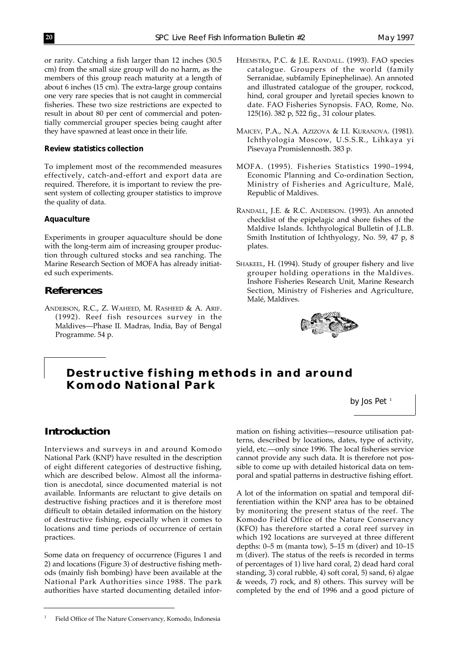or rarity. Catching a fish larger than 12 inches (30.5 cm) from the small size group will do no harm, as the members of this group reach maturity at a length of about 6 inches (15 cm). The extra-large group contains one very rare species that is not caught in commercial fisheries. These two size restrictions are expected to result in about 80 per cent of commercial and potentially commercial grouper species being caught after they have spawned at least once in their life.

# *Review statistics collection*

To implement most of the recommended measures effectively, catch-and-effort and export data are required. Therefore, it is important to review the present system of collecting grouper statistics to improve the quality of data.

#### *Aquaculture*

Experiments in grouper aquaculture should be done with the long-term aim of increasing grouper production through cultured stocks and sea ranching. The Marine Research Section of MOFA has already initiated such experiments.

# **References**

ANDERSON, R.C., Z. WAHEED, M. RASHEED & A. ARIF. (1992). Reef fish resources survey in the Maldives—Phase II. Madras, India, Bay of Bengal Programme. 54 p.

- HEEMSTRA, P.C. & J.E. RANDALL. (1993). FAO species catalogue. Groupers of the world (family Serranidae, subfamily Epinephelinae). An annoted and illustrated catalogue of the grouper, rockcod, hind, coral grouper and lyretail species known to date. FAO Fisheries Synopsis. FAO, Rome, No. 125(16). 382 p, 522 fig., 31 colour plates.
- MAICEV, P.A., N.A. AZIZOVA & I.I. KURANOVA. (1981). Ichthyologia Moscow, U.S.S.R., Lihkaya yi Pisevaya Promislennosth. 383 p.
- MOFA. (1995). Fisheries Statistics 1990–1994, Economic Planning and Co-ordination Section, Ministry of Fisheries and Agriculture, Malé, Republic of Maldives.
- RANDALL, J.E. & R.C. ANDERSON. (1993). An annoted checklist of the epipelagic and shore fishes of the Maldive Islands. Ichthyological Bulletin of J.L.B. Smith Institution of Ichthyology, No. 59, 47 p, 8 plates.
- SHAKEEL, H. (1994). Study of grouper fishery and live grouper holding operations in the Maldives. Inshore Fisheries Research Unit, Marine Research Section, Ministry of Fisheries and Agriculture, Malé, Maldives.



# **Destructive fishing methods in and around Komodo National Park**

*by Jos Pet* <sup>1</sup>

# **Introduction**

Interviews and surveys in and around Komodo National Park (KNP) have resulted in the description of eight different categories of destructive fishing, which are described below. Almost all the information is anecdotal, since documented material is not available. Informants are reluctant to give details on destructive fishing practices and it is therefore most difficult to obtain detailed information on the history of destructive fishing, especially when it comes to locations and time periods of occurrence of certain practices.

Some data on frequency of occurrence (Figures 1 and 2) and locations (Figure 3) of destructive fishing methods (mainly fish bombing) have been available at the National Park Authorities since 1988. The park authorities have started documenting detailed information on fishing activities—resource utilisation patterns, described by locations, dates, type of activity, yield, etc.—only since 1996. The local fisheries service cannot provide any such data. It is therefore not possible to come up with detailed historical data on temporal and spatial patterns in destructive fishing effort.

A lot of the information on spatial and temporal differentiation within the KNP area has to be obtained by monitoring the present status of the reef. The Komodo Field Office of the Nature Conservancy (KFO) has therefore started a coral reef survey in which 192 locations are surveyed at three different depths:  $0-5$  m (manta tow),  $5-15$  m (diver) and  $10-15$ m (diver). The status of the reefs is recorded in terms of percentages of 1) live hard coral, 2) dead hard coral standing, 3) coral rubble, 4) soft coral, 5) sand, 6) algae & weeds, 7) rock, and 8) others. This survey will be completed by the end of 1996 and a good picture of

<sup>1</sup> Field Office of The Nature Conservancy, Komodo, Indonesia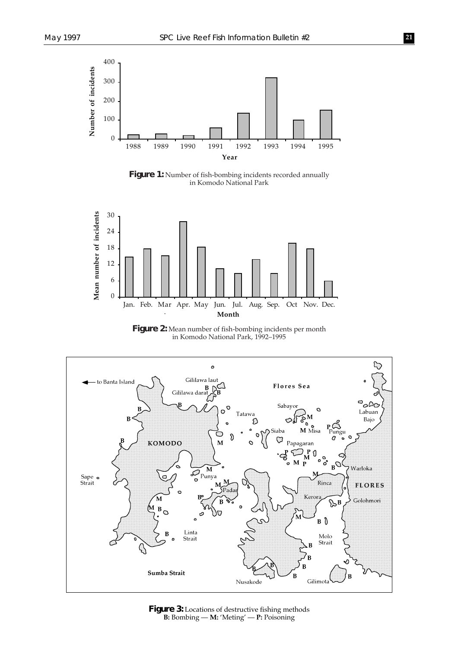

Figure 1: Number of fish-bombing incidents recorded annually in Komodo National Park



**Figure 2:** Mean number of fish-bombing incidents per month in Komodo National Park, 1992–1995



Figure 3: Locations of destructive fishing methods **B:** Bombing — **M:** 'Meting' — **P:** Poisoning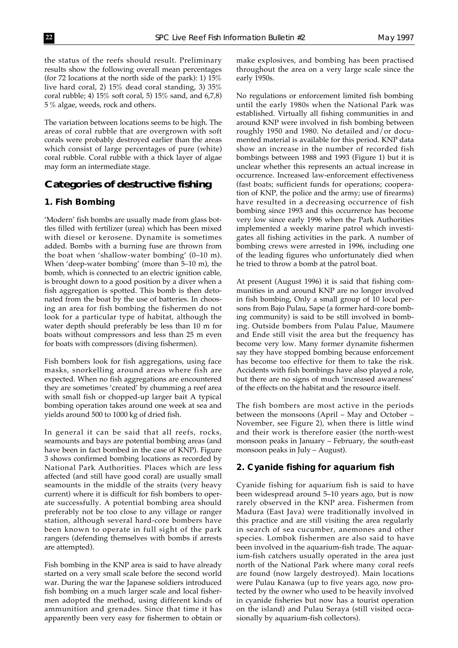the status of the reefs should result. Preliminary results show the following overall mean percentages (for 72 locations at the north side of the park): 1) 15% live hard coral, 2) 15% dead coral standing, 3) 35% coral rubble; 4) 15% soft coral, 5) 15% sand, and 6,7,8) 5 % algae, weeds, rock and others.

The variation between locations seems to be high. The areas of coral rubble that are overgrown with soft corals were probably destroyed earlier than the areas which consist of large percentages of pure (white) coral rubble. Coral rubble with a thick layer of algae may form an intermediate stage.

# **Categories of destructive fishing**

#### *1. Fish Bombing*

'Modern' fish bombs are usually made from glass bottles filled with fertilizer (urea) which has been mixed with diesel or kerosene. Dynamite is sometimes added. Bombs with a burning fuse are thrown from the boat when 'shallow-water bombing' (0–10 m). When 'deep-water bombing' (more than 5–10 m), the bomb, which is connected to an electric ignition cable, is brought down to a good position by a diver when a fish aggregation is spotted. This bomb is then detonated from the boat by the use of batteries. In choosing an area for fish bombing the fishermen do not look for a particular type of habitat, although the water depth should preferably be less than 10 m for boats without compressors and less than 25 m even for boats with compressors (diving fishermen).

Fish bombers look for fish aggregations, using face masks, snorkelling around areas where fish are expected. When no fish aggregations are encountered they are sometimes 'created' by chumming a reef area with small fish or chopped-up larger bait A typical bombing operation takes around one week at sea and yields around 500 to 1000 kg of dried fish.

In general it can be said that all reefs, rocks, seamounts and bays are potential bombing areas (and have been in fact bombed in the case of KNP). Figure 3 shows confirmed bombing locations as recorded by National Park Authorities. Places which are less affected (and still have good coral) are usually small seamounts in the middle of the straits (very heavy current) where it is difficult for fish bombers to operate successfully. A potential bombing area should preferably not be too close to any village or ranger station, although several hard-core bombers have been known to operate in full sight of the park rangers (defending themselves with bombs if arrests are attempted).

Fish bombing in the KNP area is said to have already started on a very small scale before the second world war. During the war the Japanese soldiers introduced fish bombing on a much larger scale and local fishermen adopted the method, using different kinds of ammunition and grenades. Since that time it has apparently been very easy for fishermen to obtain or make explosives, and bombing has been practised throughout the area on a very large scale since the early 1950s.

No regulations or enforcement limited fish bombing until the early 1980s when the National Park was established. Virtually all fishing communities in and around KNP were involved in fish bombing between roughly 1950 and 1980. No detailed and/or documented material is available for this period. KNP data show an increase in the number of recorded fish bombings between 1988 and 1993 (Figure 1) but it is unclear whether this represents an actual increase in occurrence. Increased law-enforcement effectiveness (fast boats; sufficient funds for operations; cooperation of KNP, the police and the army; use of firearms) have resulted in a decreasing occurrence of fish bombing since 1993 and this occurrence has become very low since early 1996 when the Park Authorities implemented a weekly marine patrol which investigates all fishing activities in the park. A number of bombing crews were arrested in 1996, including one of the leading figures who unfortunately died when he tried to throw a bomb at the patrol boat.

At present (August 1996) it is said that fishing communities in and around KNP are no longer involved in fish bombing, Only a small group of 10 local persons from Bajo Pulau, Sape (a former hard-core bombing community) is said to be still involved in bombing. Outside bombers from Pulau Palue, Maumere and Ende still visit the area but the frequency has become very low. Many former dynamite fishermen say they have stopped bombing because enforcement has become too effective for them to take the risk. Accidents with fish bombings have also played a role, but there are no signs of much 'increased awareness' of the effects on the habitat and the resource itself.

The fish bombers are most active in the periods between the monsoons (April – May and October – November, see Figure 2), when there is little wind and their work is therefore easier (the north-west monsoon peaks in January – February, the south-east monsoon peaks in July – August).

#### *2. Cyanide fishing for aquarium fish*

Cyanide fishing for aquarium fish is said to have been widespread around 5–10 years ago, but is now rarely observed in the KNP area. Fishermen from Madura (East Java) were traditionally involved in this practice and are still visiting the area regularly in search of sea cucumber, anemones and other species. Lombok fishermen are also said to have been involved in the aquarium-fish trade. The aquarium-fish catchers usually operated in the area just north of the National Park where many coral reefs are found (now largely destroyed). Main locations were Pulau Kanawa (up to five years ago, now protected by the owner who used to be heavily involved in cyanide fisheries but now has a tourist operation on the island) and Pulau Seraya (still visited occasionally by aquarium-fish collectors).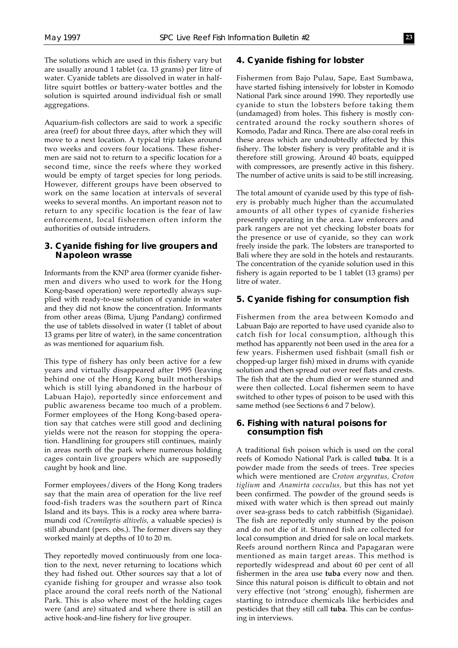The solutions which are used in this fishery vary but are usually around 1 tablet (ca. 13 grams) per litre of water. Cyanide tablets are dissolved in water in halflitre squirt bottles or battery-water bottles and the solution is squirted around individual fish or small aggregations.

Aquarium-fish collectors are said to work a specific area (reef) for about three days, after which they will move to a next location. A typical trip takes around two weeks and covers four locations. These fishermen are said not to return to a specific location for a second time, since the reefs where they worked would be empty of target species for long periods. However, different groups have been observed to work on the same location at intervals of several weeks to several months. An important reason not to return to any specific location is the fear of law enforcement, local fishermen often inform the authorities of outside intruders.

# *3. Cyanide fishing for live groupers and Napoleon wrasse*

Informants from the KNP area (former cyanide fishermen and divers who used to work for the Hong Kong-based operation) were reportedly always supplied with ready-to-use solution of cyanide in water and they did not know the concentration. Informants from other areas (Bima, Ujung Pandang) confirmed the use of tablets dissolved in water (1 tablet of about 13 grams per litre of water), in the same concentration as was mentioned for aquarium fish.

This type of fishery has only been active for a few years and virtually disappeared after 1995 (leaving behind one of the Hong Kong built motherships which is still lying abandoned in the harbour of Labuan Hajo), reportedly since enforcement and public awareness became too much of a problem. Former employees of the Hong Kong-based operation say that catches were still good and declining yields were not the reason for stopping the operation. Handlining for groupers still continues, mainly in areas north of the park where numerous holding cages contain live groupers which are supposedly caught by hook and line.

Former employees/divers of the Hong Kong traders say that the main area of operation for the live reef food-fish traders was the southern part of Rinca Island and its bays. This is a rocky area where barramundi cod *(Cromileptis altivelis,* a valuable species) is still abundant (pers. obs.). The former divers say they worked mainly at depths of 10 to 20 m.

They reportedly moved continuously from one location to the next, never returning to locations which they had fished out. Other sources say that a lot of cyanide fishing for grouper and wrasse also took place around the coral reefs north of the National Park. This is also where most of the holding cages were (and are) situated and where there is still an active hook-and-line fishery for live grouper.

# *4. Cyanide fishing for lobster*

Fishermen from Bajo Pulau, Sape, East Sumbawa, have started fishing intensively for lobster in Komodo National Park since around 1990. They reportedly use cyanide to stun the lobsters before taking them (undamaged) from holes. This fishery is mostly concentrated around the rocky southern shores of Komodo, Padar and Rinca. There are also coral reefs in these areas which are undoubtedly affected by this fishery. The lobster fishery is very profitable and it is therefore still growing. Around 40 boats, equipped with compressors, are presently active in this fishery. The number of active units is said to be still increasing.

The total amount of cyanide used by this type of fishery is probably much higher than the accumulated amounts of all other types of cyanide fisheries presently operating in the area. Law enforcers and park rangers are not yet checking lobster boats for the presence or use of cyanide, so they can work freely inside the park. The lobsters are transported to Bali where they are sold in the hotels and restaurants. The concentration of the cyanide solution used in this fishery is again reported to be 1 tablet (13 grams) per litre of water.

# *5. Cyanide fishing for consumption fish*

Fishermen from the area between Komodo and Labuan Bajo are reported to have used cyanide also to catch fish for local consumption, although this method has apparently not been used in the area for a few years. Fishermen used fishbait (small fish or chopped-up larger fish) mixed in drums with cyanide solution and then spread out over reef flats and crests. The fish that ate the chum died or were stunned and were then collected. Local fishermen seem to have switched to other types of poison to be used with this same method (see Sections 6 and 7 below).

# *6. Fishing with natural poisons for consumption fish*

A traditional fish poison which is used on the coral reefs of Komodo National Park is called **tuba**. It is a powder made from the seeds of trees. Tree species which were mentioned are *Croton argyratus, Croton tiglium* and *Anamirta cocculus,* but this has not yet been confirmed. The powder of the ground seeds is mixed with water which is then spread out mainly over sea-grass beds to catch rabbitfish (Siganidae). The fish are reportedly only stunned by the poison and do not die of it. Stunned fish are collected for local consumption and dried for sale on local markets. Reefs around northern Rinca and Papagaran were mentioned as main target areas. This method is reportedly widespread and about 60 per cent of all fishermen in the area use **tuba** every now and then. Since this natural poison is difficult to obtain and not very effective (not 'strong' enough), fishermen are starting to introduce chemicals like herbicides and pesticides that they still call **tuba**. This can be confusing in interviews.